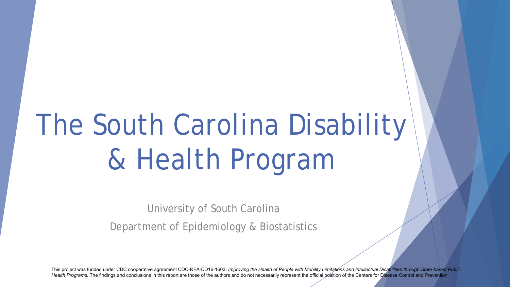# The South Carolina Disability & Health Program

University of South Carolina

Department of Epidemiology & Biostatistics

This project was funded under CDC cooperative agreement CDC-RFA-DD16-1603: *Improving the Health of People with Mobility Limitations and Intellectual Disabilities through State-based Public* Health Programs. The findings and conclusions in this report are those of the authors and do not necessarily represent the official position of the Centers for Disease Control and Prevention.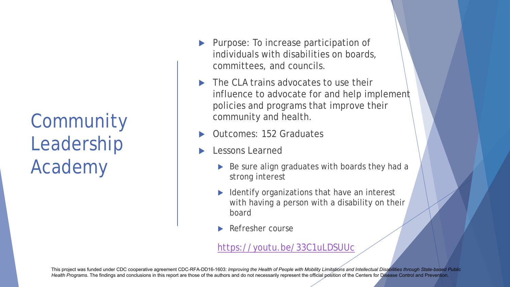Community Leadership Academy

- Purpose: To increase participation of individuals with disabilities on boards, committees, and councils.
- **The CLA trains advocates to use their** influence to advocate for and help implement policies and programs that improve their community and health.
- Outcomes: 152 Graduates
- Lessons Learned
	- Be sure align graduates with boards they had a strong interest
	- Identify organizations that have an interest with having a person with a disability on their board
	- Refresher course

#### https://youtu.be/33C1uLDSUUc

This project was funded under CDC cooperative agreement CDC-RFA-DD16-1603: *Improving the Health of People with Mobility Limitations and Intellectual Disabilities through State-based Public* Health Programs. The findings and conclusions in this report ar[e those of the authors and do not necessarily represent the official](https://youtu.be/33C1uLDSUUc) position of the Centers for Disease Control and Prevention.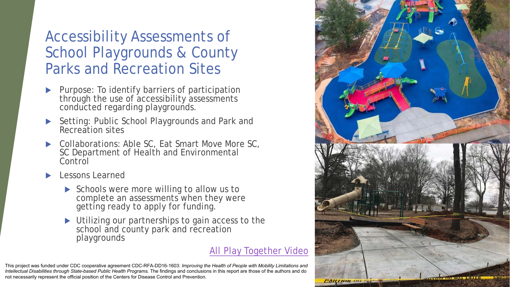### Accessibility Assessments of School Playgrounds & County Parks and Recreation Sites

- Purpose: To identify barriers of participation through the use of accessibility assessments conducted regarding playgrounds.
- ▶ Setting: Public School Playgrounds and Park and Recreation sites
- Collaborations: Able SC, Eat Smart Move More SC, SC Department of Health and Environmental Control
- Lessons Learned
	- Schools were more willing to allow us to complete an assessments when they were getting ready to apply for funding.
	- Utilizing our partnerships to gain access to the school and county park and recreation playgrounds

#### All Play Together Video

This project was funded under CDC cooperative agreement CDC-RFA-DD16-1603: *Improving the Health of People with Mobility Limitations and Intellectual Disabilities through State-based Public Health Programs.* The findings and conclusion[s in this report are those of the authors and do](https://www.facebook.com/Allplaytogether/videos/484667762249155)  not necessarily represent the official position of the Centers for Disease Control and Prevention.

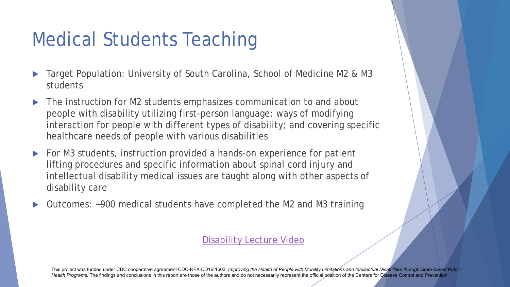### Medical Students Teaching

- Target Population: University of South Carolina, School of Medicine M2 & M3 students
- ▶ The instruction for M2 students emphasizes communication to and about people with disability utilizing first-person language; ways of modifying interaction for people with different types of disability; and covering specific healthcare needs of people with various disabilities
- For M3 students, instruction provided a hands-on experience for patient lifting procedures and specific information about spinal cord injury and intellectual disability medical issues are taught along with other aspects of disability care
- Outcomes: ~900 medical students have completed the M2 and M3 training

#### Disability Lecture Video

This project was funded under CDC cooperative agreement CDC-RFA-DD16-1603: *[Improving the Health of People with](https://www.dropbox.com/s/0kco3c4kip6ep8e/Disability%20Lecture.mp4?dl=0) Mobility Limitations and Intellectual Disabilities through State-based Public* Health Programs. The findings and conclusions in this report are those of the authors and do not necessarily represent the official position of the Centers for Disease Control and Prevention.